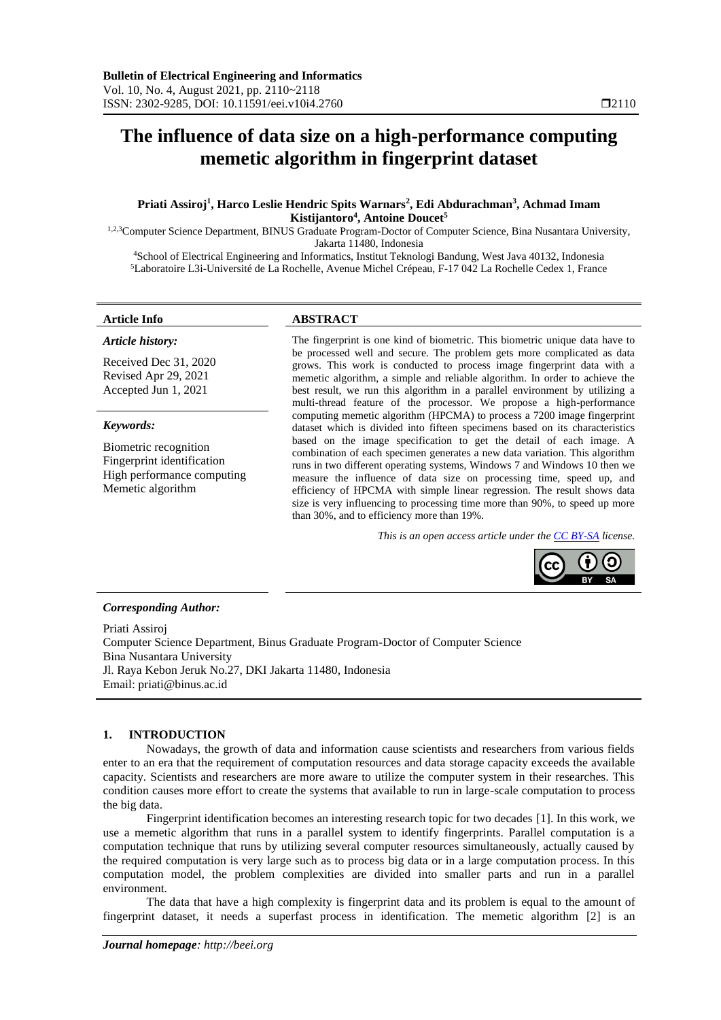# **The influence of data size on a high-performance computing memetic algorithm in fingerprint dataset**

# **Priati Assiroj<sup>1</sup> , Harco Leslie Hendric Spits Warnars<sup>2</sup> , Edi Abdurachman<sup>3</sup> , Achmad Imam Kistijantoro<sup>4</sup> , Antoine Doucet<sup>5</sup>**

1,2,3Computer Science Department, BINUS Graduate Program-Doctor of Computer Science, Bina Nusantara University, Jakarta 11480, Indonesia

<sup>4</sup>School of Electrical Engineering and Informatics, Institut Teknologi Bandung, West Java 40132, Indonesia <sup>5</sup>Laboratoire L3i-Université de La Rochelle, Avenue Michel Crépeau, F-17 042 La Rochelle Cedex 1, France

### *Article history:*

Received Dec 31, 2020 Revised Apr 29, 2021 Accepted Jun 1, 2021

#### *Keywords:*

Biometric recognition Fingerprint identification High performance computing Memetic algorithm

# **Article Info ABSTRACT**

The fingerprint is one kind of biometric. This biometric unique data have to be processed well and secure. The problem gets more complicated as data grows. This work is conducted to process image fingerprint data with a memetic algorithm, a simple and reliable algorithm. In order to achieve the best result, we run this algorithm in a parallel environment by utilizing a multi-thread feature of the processor. We propose a high-performance computing memetic algorithm (HPCMA) to process a 7200 image fingerprint dataset which is divided into fifteen specimens based on its characteristics based on the image specification to get the detail of each image. A combination of each specimen generates a new data variation. This algorithm runs in two different operating systems, Windows 7 and Windows 10 then we measure the influence of data size on processing time, speed up, and efficiency of HPCMA with simple linear regression. The result shows data size is very influencing to processing time more than 90%, to speed up more than 30%, and to efficiency more than 19%.

*This is an open access article under th[e CC BY-SA](https://creativecommons.org/licenses/by-sa/4.0/) license.*



#### *Corresponding Author:*

Priati Assiroj Computer Science Department, Binus Graduate Program-Doctor of Computer Science Bina Nusantara University Jl. Raya Kebon Jeruk No.27, DKI Jakarta 11480, Indonesia Email: priati@binus.ac.id

# **1. INTRODUCTION**

Nowadays, the growth of data and information cause scientists and researchers from various fields enter to an era that the requirement of computation resources and data storage capacity exceeds the available capacity. Scientists and researchers are more aware to utilize the computer system in their researches. This condition causes more effort to create the systems that available to run in large-scale computation to process the big data.

Fingerprint identification becomes an interesting research topic for two decades [1]. In this work, we use a memetic algorithm that runs in a parallel system to identify fingerprints. Parallel computation is a computation technique that runs by utilizing several computer resources simultaneously, actually caused by the required computation is very large such as to process big data or in a large computation process. In this computation model, the problem complexities are divided into smaller parts and run in a parallel environment.

The data that have a high complexity is fingerprint data and its problem is equal to the amount of fingerprint dataset, it needs a superfast process in identification. The memetic algorithm [2] is an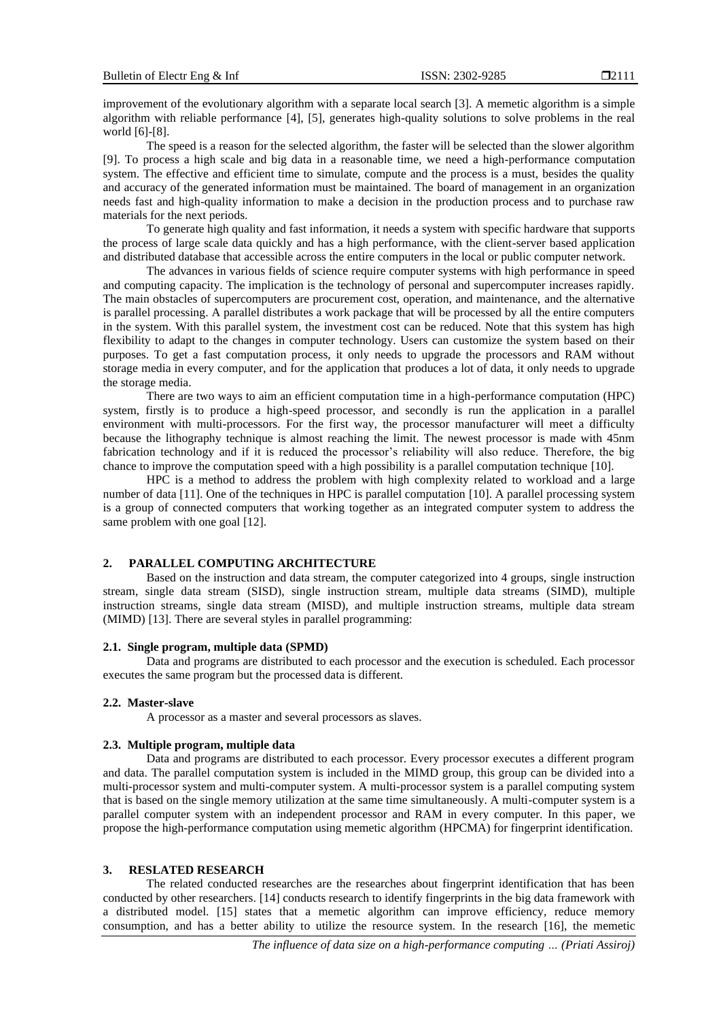improvement of the evolutionary algorithm with a separate local search [3]. A memetic algorithm is a simple algorithm with reliable performance [4], [5], generates high-quality solutions to solve problems in the real world [6]-[8].

The speed is a reason for the selected algorithm, the faster will be selected than the slower algorithm [9]. To process a high scale and big data in a reasonable time, we need a high-performance computation system. The effective and efficient time to simulate, compute and the process is a must, besides the quality and accuracy of the generated information must be maintained. The board of management in an organization needs fast and high-quality information to make a decision in the production process and to purchase raw materials for the next periods.

To generate high quality and fast information, it needs a system with specific hardware that supports the process of large scale data quickly and has a high performance, with the client-server based application and distributed database that accessible across the entire computers in the local or public computer network.

The advances in various fields of science require computer systems with high performance in speed and computing capacity. The implication is the technology of personal and supercomputer increases rapidly. The main obstacles of supercomputers are procurement cost, operation, and maintenance, and the alternative is parallel processing. A parallel distributes a work package that will be processed by all the entire computers in the system. With this parallel system, the investment cost can be reduced. Note that this system has high flexibility to adapt to the changes in computer technology. Users can customize the system based on their purposes. To get a fast computation process, it only needs to upgrade the processors and RAM without storage media in every computer, and for the application that produces a lot of data, it only needs to upgrade the storage media.

There are two ways to aim an efficient computation time in a high-performance computation (HPC) system, firstly is to produce a high-speed processor, and secondly is run the application in a parallel environment with multi-processors. For the first way, the processor manufacturer will meet a difficulty because the lithography technique is almost reaching the limit. The newest processor is made with 45nm fabrication technology and if it is reduced the processor's reliability will also reduce. Therefore, the big chance to improve the computation speed with a high possibility is a parallel computation technique [10].

HPC is a method to address the problem with high complexity related to workload and a large number of data [11]. One of the techniques in HPC is parallel computation [10]. A parallel processing system is a group of connected computers that working together as an integrated computer system to address the same problem with one goal [12].

# **2. PARALLEL COMPUTING ARCHITECTURE**

Based on the instruction and data stream, the computer categorized into 4 groups, single instruction stream, single data stream (SISD), single instruction stream, multiple data streams (SIMD), multiple instruction streams, single data stream (MISD), and multiple instruction streams, multiple data stream (MIMD) [13]. There are several styles in parallel programming:

## **2.1. Single program, multiple data (SPMD)**

Data and programs are distributed to each processor and the execution is scheduled. Each processor executes the same program but the processed data is different.

#### **2.2. Master-slave**

A processor as a master and several processors as slaves.

#### **2.3. Multiple program, multiple data**

Data and programs are distributed to each processor. Every processor executes a different program and data. The parallel computation system is included in the MIMD group, this group can be divided into a multi-processor system and multi-computer system. A multi-processor system is a parallel computing system that is based on the single memory utilization at the same time simultaneously. A multi-computer system is a parallel computer system with an independent processor and RAM in every computer. In this paper, we propose the high-performance computation using memetic algorithm (HPCMA) for fingerprint identification.

# **3. RESLATED RESEARCH**

The related conducted researches are the researches about fingerprint identification that has been conducted by other researchers. [14] conducts research to identify fingerprints in the big data framework with a distributed model. [15] states that a memetic algorithm can improve efficiency, reduce memory consumption, and has a better ability to utilize the resource system. In the research [16], the memetic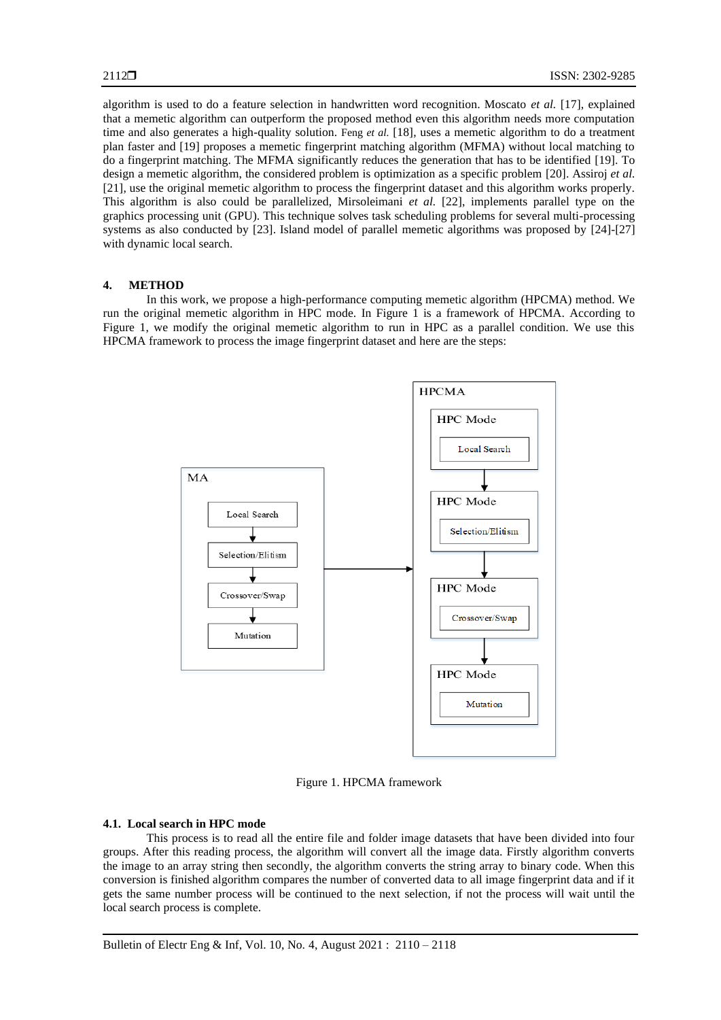algorithm is used to do a feature selection in handwritten word recognition. Moscato *et al.* [17], explained that a memetic algorithm can outperform the proposed method even this algorithm needs more computation time and also generates a high-quality solution. Feng *et al.* [18], uses a memetic algorithm to do a treatment plan faster and [19] proposes a memetic fingerprint matching algorithm (MFMA) without local matching to do a fingerprint matching. The MFMA significantly reduces the generation that has to be identified [19]. To design a memetic algorithm, the considered problem is optimization as a specific problem [20]. Assiroj *et al.* [21], use the original memetic algorithm to process the fingerprint dataset and this algorithm works properly. This algorithm is also could be parallelized, Mirsoleimani *et al.* [22], implements parallel type on the graphics processing unit (GPU). This technique solves task scheduling problems for several multi-processing systems as also conducted by [23]. Island model of parallel memetic algorithms was proposed by [24]-[27] with dynamic local search.

# **4. METHOD**

In this work, we propose a high-performance computing memetic algorithm (HPCMA) method. We run the original memetic algorithm in HPC mode. In Figure 1 is a framework of HPCMA. According to Figure 1, we modify the original memetic algorithm to run in HPC as a parallel condition. We use this HPCMA framework to process the image fingerprint dataset and here are the steps:



Figure 1. HPCMA framework

# **4.1. Local search in HPC mode**

This process is to read all the entire file and folder image datasets that have been divided into four groups. After this reading process, the algorithm will convert all the image data. Firstly algorithm converts the image to an array string then secondly, the algorithm converts the string array to binary code. When this conversion is finished algorithm compares the number of converted data to all image fingerprint data and if it gets the same number process will be continued to the next selection, if not the process will wait until the local search process is complete.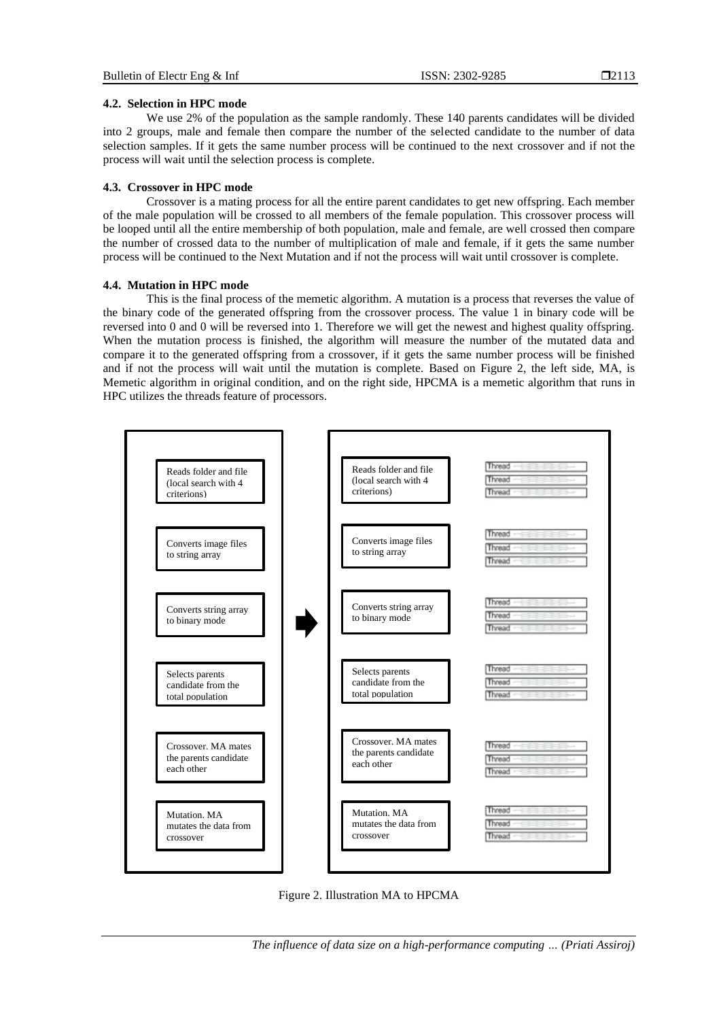# **4.2. Selection in HPC mode**

We use 2% of the population as the sample randomly. These 140 parents candidates will be divided into 2 groups, male and female then compare the number of the selected candidate to the number of data selection samples. If it gets the same number process will be continued to the next crossover and if not the process will wait until the selection process is complete.

# **4.3. Crossover in HPC mode**

Crossover is a mating process for all the entire parent candidates to get new offspring. Each member of the male population will be crossed to all members of the female population. This crossover process will be looped until all the entire membership of both population, male and female, are well crossed then compare the number of crossed data to the number of multiplication of male and female, if it gets the same number process will be continued to the Next Mutation and if not the process will wait until crossover is complete.

# **4.4. Mutation in HPC mode**

This is the final process of the memetic algorithm. A mutation is a process that reverses the value of the binary code of the generated offspring from the crossover process. The value 1 in binary code will be reversed into 0 and 0 will be reversed into 1. Therefore we will get the newest and highest quality offspring. When the mutation process is finished, the algorithm will measure the number of the mutated data and compare it to the generated offspring from a crossover, if it gets the same number process will be finished and if not the process will wait until the mutation is complete. Based on Figure 2, the left side, MA, is Memetic algorithm in original condition, and on the right side, HPCMA is a memetic algorithm that runs in HPC utilizes the threads feature of processors.



Figure 2. Illustration MA to HPCMA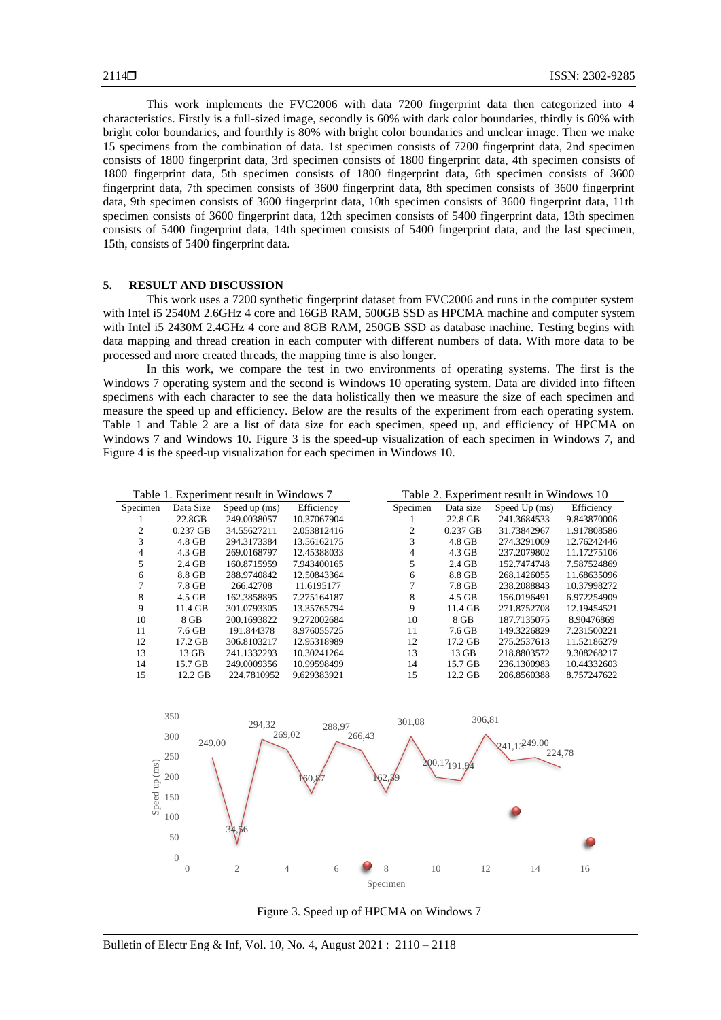This work implements the FVC2006 with data 7200 fingerprint data then categorized into 4 characteristics. Firstly is a full-sized image, secondly is 60% with dark color boundaries, thirdly is 60% with bright color boundaries, and fourthly is 80% with bright color boundaries and unclear image. Then we make 15 specimens from the combination of data. 1st specimen consists of 7200 fingerprint data, 2nd specimen consists of 1800 fingerprint data, 3rd specimen consists of 1800 fingerprint data, 4th specimen consists of 1800 fingerprint data, 5th specimen consists of 1800 fingerprint data, 6th specimen consists of 3600 fingerprint data, 7th specimen consists of 3600 fingerprint data, 8th specimen consists of 3600 fingerprint data, 9th specimen consists of 3600 fingerprint data, 10th specimen consists of 3600 fingerprint data, 11th specimen consists of 3600 fingerprint data, 12th specimen consists of 5400 fingerprint data, 13th specimen consists of 5400 fingerprint data, 14th specimen consists of 5400 fingerprint data, and the last specimen, 15th, consists of 5400 fingerprint data.

# **5. RESULT AND DISCUSSION**

This work uses a 7200 synthetic fingerprint dataset from FVC2006 and runs in the computer system with Intel i5 2540M 2.6GHz 4 core and 16GB RAM, 500GB SSD as HPCMA machine and computer system with Intel i5 2430M 2.4GHz 4 core and 8GB RAM, 250GB SSD as database machine. Testing begins with data mapping and thread creation in each computer with different numbers of data. With more data to be processed and more created threads, the mapping time is also longer.

In this work, we compare the test in two environments of operating systems. The first is the Windows 7 operating system and the second is Windows 10 operating system. Data are divided into fifteen specimens with each character to see the data holistically then we measure the size of each specimen and measure the speed up and efficiency. Below are the results of the experiment from each operating system. Table 1 and Table 2 are a list of data size for each specimen, speed up, and efficiency of HPCMA on Windows 7 and Windows 10. Figure 3 is the speed-up visualization of each specimen in Windows 7, and Figure 4 is the speed-up visualization for each specimen in Windows 10.

| Table 1. Experiment result in Windows 7 |  |  |
|-----------------------------------------|--|--|
|-----------------------------------------|--|--|

Table 2. Experiment result in Windows 10

| Specimen | Data Size  | Speed up (ms) | Efficiency  | Specimen | Data size  | Speed Up (ms) | Efficiency  |
|----------|------------|---------------|-------------|----------|------------|---------------|-------------|
|          | 22.8GB     | 249.0038057   | 10.37067904 |          | 22.8 GB    | 241.3684533   | 9.843870006 |
|          | $0.237$ GB | 34.55627211   | 2.053812416 |          | $0.237$ GB | 31.73842967   | 1.917808586 |
| 3        | $4.8$ GB   | 294.3173384   | 13.56162175 | 3        | 4.8 GB     | 274.3291009   | 12.76242446 |
| 4        | 4.3 GB     | 269.0168797   | 12.45388033 | 4        | 4.3 GB     | 237.2079802   | 11.17275106 |
|          | 2.4 GB     | 160.8715959   | 7.943400165 | 5        | 2.4 GB     | 152.7474748   | 7.587524869 |
| 6        | 8.8 GB     | 288.9740842   | 12.50843364 | 6        | 8.8 GB     | 268.1426055   | 11.68635096 |
|          | 7.8 GB     | 266.42708     | 11.6195177  |          | 7.8 GB     | 238.2088843   | 10.37998272 |
| 8        | 4.5 GB     | 162.3858895   | 7.275164187 | 8        | 4.5 GB     | 156.0196491   | 6.972254909 |
| 9        | $11.4$ GB  | 301.0793305   | 13.35765794 | 9        | 11.4 GB    | 271.8752708   | 12.19454521 |
| 10       | 8 GB       | 200.1693822   | 9.272002684 | 10       | 8 GB       | 187.7135075   | 8.90476869  |
| 11       | 7.6 GB     | 191.844378    | 8.976055725 | 11       | 7.6 GB     | 149.3226829   | 7.231500221 |
| 12       | $17.2$ GB  | 306.8103217   | 12.95318989 | 12       | $17.2$ GB  | 275.2537613   | 11.52186279 |
| 13       | 13 GB      | 241.1332293   | 10.30241264 | 13       | 13 GB      | 218.8803572   | 9.308268217 |
| 14       | 15.7 GB    | 249.0009356   | 10.99598499 | 14       | 15.7 GB    | 236.1300983   | 10.44332603 |
| 15       | 12.2 GB    | 224.7810952   | 9.629383921 | 15       | 12.2 GB    | 206.8560388   | 8.757247622 |



Figure 3. Speed up of HPCMA on Windows 7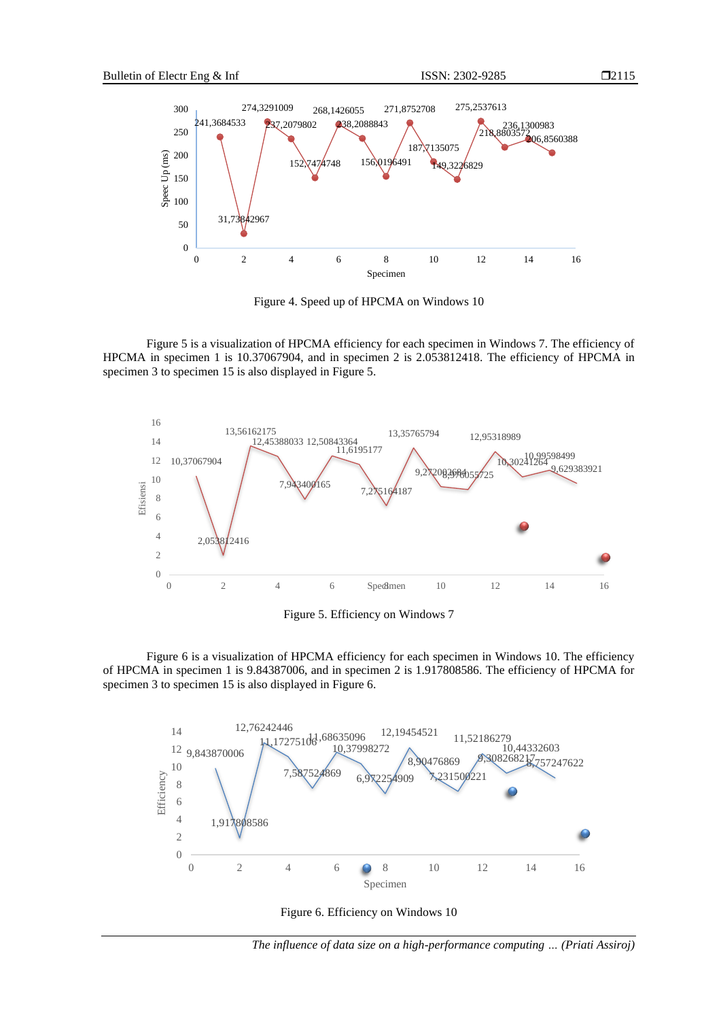



Figure 4. Speed up of HPCMA on Windows 10

Figure 5 is a visualization of HPCMA efficiency for each specimen in Windows 7. The efficiency of HPCMA in specimen 1 is 10.37067904, and in specimen 2 is 2.053812418. The efficiency of HPCMA in specimen 3 to specimen 15 is also displayed in Figure 5.



Figure 5. Efficiency on Windows 7

Figure 6 is a visualization of HPCMA efficiency for each specimen in Windows 10. The efficiency of HPCMA in specimen 1 is 9.84387006, and in specimen 2 is 1.917808586. The efficiency of HPCMA for specimen 3 to specimen 15 is also displayed in Figure 6.



Figure 6. Efficiency on Windows 10

*The influence of data size on a high-performance computing … (Priati Assiroj)*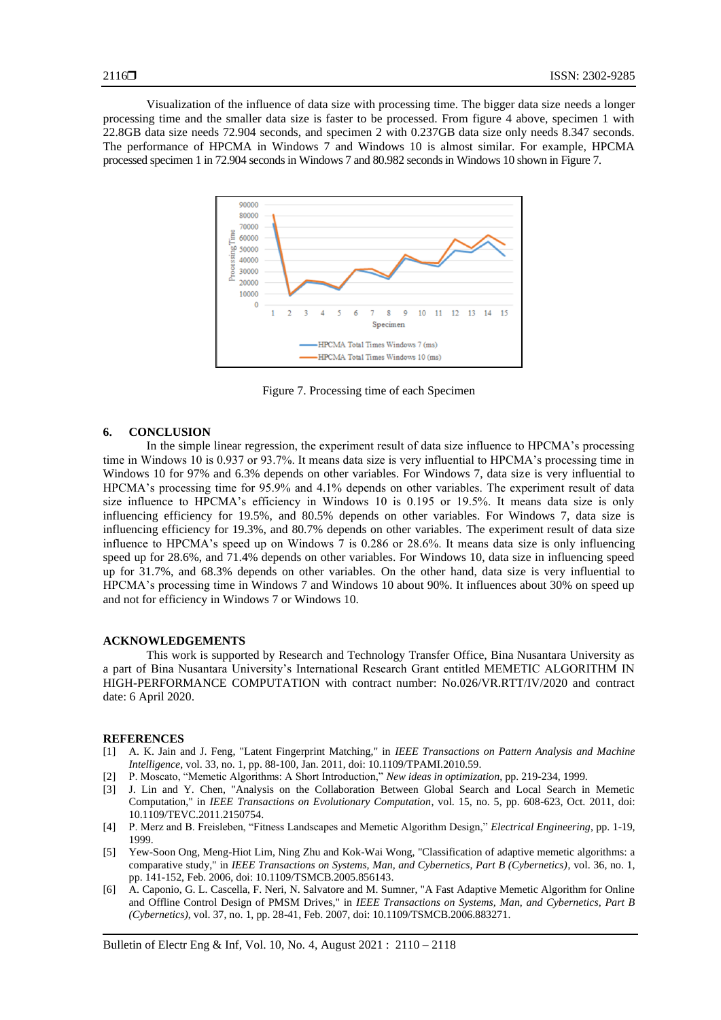Visualization of the influence of data size with processing time. The bigger data size needs a longer processing time and the smaller data size is faster to be processed. From figure 4 above, specimen 1 with 22.8GB data size needs 72.904 seconds, and specimen 2 with 0.237GB data size only needs 8.347 seconds. The performance of HPCMA in Windows 7 and Windows 10 is almost similar. For example, HPCMA processed specimen 1 in 72.904 seconds in Windows 7 and 80.982 seconds in Windows 10 shown in Figure 7.



Figure 7. Processing time of each Specimen

#### **6. CONCLUSION**

In the simple linear regression, the experiment result of data size influence to HPCMA's processing time in Windows 10 is 0.937 or 93.7%. It means data size is very influential to HPCMA's processing time in Windows 10 for 97% and 6.3% depends on other variables. For Windows 7, data size is very influential to HPCMA's processing time for 95.9% and 4.1% depends on other variables. The experiment result of data size influence to HPCMA's efficiency in Windows 10 is 0.195 or 19.5%. It means data size is only influencing efficiency for 19.5%, and 80.5% depends on other variables. For Windows 7, data size is influencing efficiency for 19.3%, and 80.7% depends on other variables. The experiment result of data size influence to HPCMA's speed up on Windows 7 is 0.286 or 28.6%. It means data size is only influencing speed up for 28.6%, and 71.4% depends on other variables. For Windows 10, data size in influencing speed up for 31.7%, and 68.3% depends on other variables. On the other hand, data size is very influential to HPCMA's processing time in Windows 7 and Windows 10 about 90%. It influences about 30% on speed up and not for efficiency in Windows 7 or Windows 10.

#### **ACKNOWLEDGEMENTS**

This work is supported by Research and Technology Transfer Office, Bina Nusantara University as a part of Bina Nusantara University's International Research Grant entitled MEMETIC ALGORITHM IN HIGH-PERFORMANCE COMPUTATION with contract number: No.026/VR.RTT/IV/2020 and contract date: 6 April 2020.

#### **REFERENCES**

- [1] A. K. Jain and J. Feng, "Latent Fingerprint Matching," in *IEEE Transactions on Pattern Analysis and Machine Intelligence*, vol. 33, no. 1, pp. 88-100, Jan. 2011, doi: 10.1109/TPAMI.2010.59.
- [2] P. Moscato, "Memetic Algorithms: A Short Introduction," *New ideas in optimization*, pp. 219-234, 1999.
- [3] J. Lin and Y. Chen, "Analysis on the Collaboration Between Global Search and Local Search in Memetic Computation," in *IEEE Transactions on Evolutionary Computation*, vol. 15, no. 5, pp. 608-623, Oct. 2011, doi: 10.1109/TEVC.2011.2150754.
- [4] P. Merz and B. Freisleben, "Fitness Landscapes and Memetic Algorithm Design," *Electrical Engineering*, pp. 1-19, 1999.
- [5] Yew-Soon Ong, Meng-Hiot Lim, Ning Zhu and Kok-Wai Wong, "Classification of adaptive memetic algorithms: a comparative study," in *IEEE Transactions on Systems, Man, and Cybernetics, Part B (Cybernetics)*, vol. 36, no. 1, pp. 141-152, Feb. 2006, doi: 10.1109/TSMCB.2005.856143.
- [6] A. Caponio, G. L. Cascella, F. Neri, N. Salvatore and M. Sumner, "A Fast Adaptive Memetic Algorithm for Online and Offline Control Design of PMSM Drives," in *IEEE Transactions on Systems, Man, and Cybernetics, Part B (Cybernetics)*, vol. 37, no. 1, pp. 28-41, Feb. 2007, doi: 10.1109/TSMCB.2006.883271.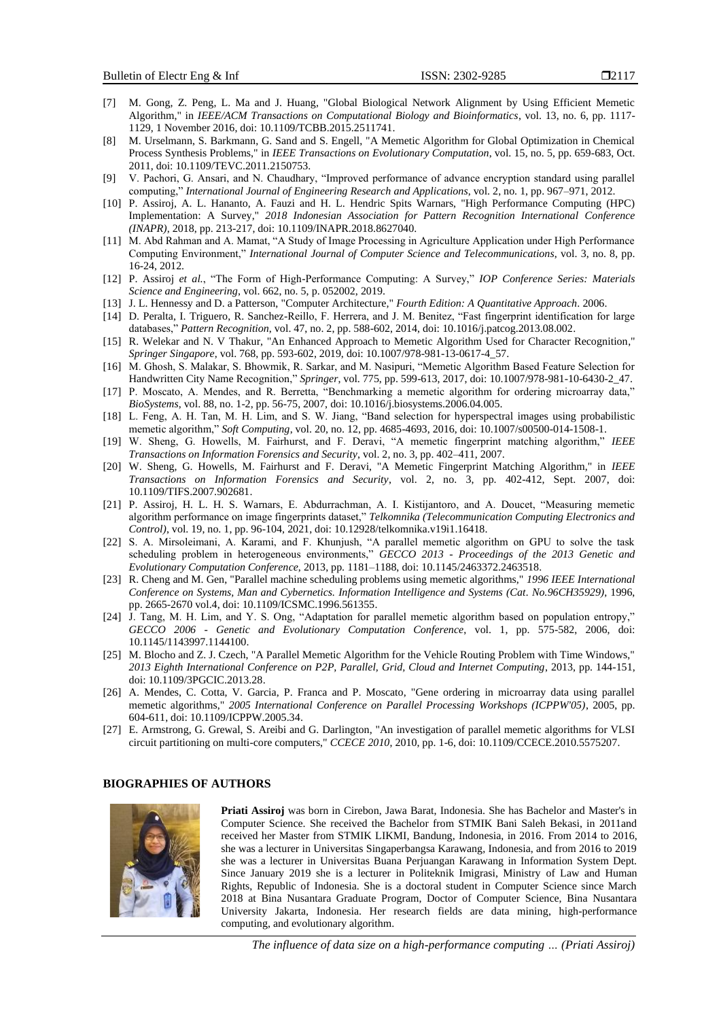- $\Box$ 2117
- [7] M. Gong, Z. Peng, L. Ma and J. Huang, "Global Biological Network Alignment by Using Efficient Memetic Algorithm," in *IEEE/ACM Transactions on Computational Biology and Bioinformatics*, vol. 13, no. 6, pp. 1117- 1129, 1 November 2016, doi: 10.1109/TCBB.2015.2511741.
- [8] M. Urselmann, S. Barkmann, G. Sand and S. Engell, "A Memetic Algorithm for Global Optimization in Chemical Process Synthesis Problems," in *IEEE Transactions on Evolutionary Computation*, vol. 15, no. 5, pp. 659-683, Oct. 2011, doi: 10.1109/TEVC.2011.2150753.
- [9] V. Pachori, G. Ansari, and N. Chaudhary, "Improved performance of advance encryption standard using parallel computing," *International Journal of Engineering Research and Applications*, vol. 2, no. 1, pp. 967–971, 2012.
- [10] P. Assiroj, A. L. Hananto, A. Fauzi and H. L. Hendric Spits Warnars, "High Performance Computing (HPC) Implementation: A Survey," *2018 Indonesian Association for Pattern Recognition International Conference (INAPR)*, 2018, pp. 213-217, doi: 10.1109/INAPR.2018.8627040.
- [11] M. Abd Rahman and A. Mamat, "A Study of Image Processing in Agriculture Application under High Performance Computing Environment," *International Journal of Computer Science and Telecommunications*, vol. 3, no. 8, pp. 16-24, 2012.
- [12] P. Assiroj *et al.*, "The Form of High-Performance Computing: A Survey," *IOP Conference Series: Materials Science and Engineering*, vol. 662, no. 5, p. 052002, 2019.
- [13] J. L. Hennessy and D. a Patterson, "Computer Architecture*,*" *Fourth Edition: A Quantitative Approach*. 2006.
- [14] D. Peralta, I. Triguero, R. Sanchez-Reillo, F. Herrera, and J. M. Benitez, "Fast fingerprint identification for large databases," *Pattern Recognition*, vol. 47, no. 2, pp. 588-602, 2014, doi: 10.1016/j.patcog.2013.08.002.
- [15] R. Welekar and N. V Thakur, "An Enhanced Approach to Memetic Algorithm Used for Character Recognition," *Springer Singapore*, vol. 768, pp. 593-602, 2019, doi: 10.1007/978-981-13-0617-4\_57.
- [16] M. Ghosh, S. Malakar, S. Bhowmik, R. Sarkar, and M. Nasipuri, "Memetic Algorithm Based Feature Selection for Handwritten City Name Recognition," *Springer*, vol. 775, pp. 599-613, 2017, doi: 10.1007/978-981-10-6430-2\_47.
- [17] P. Moscato, A. Mendes, and R. Berretta, "Benchmarking a memetic algorithm for ordering microarray data," *BioSystems*, vol. 88, no. 1-2, pp. 56-75, 2007, doi: 10.1016/j.biosystems.2006.04.005.
- [18] L. Feng, A. H. Tan, M. H. Lim, and S. W. Jiang, "Band selection for hyperspectral images using probabilistic memetic algorithm," *Soft Computing*, vol. 20, no. 12, pp. 4685-4693, 2016, doi: 10.1007/s00500-014-1508-1.
- [19] W. Sheng, G. Howells, M. Fairhurst, and F. Deravi, "A memetic fingerprint matching algorithm," *IEEE Transactions on Information Forensics and Security*, vol. 2, no. 3, pp. 402–411, 2007.
- [20] W. Sheng, G. Howells, M. Fairhurst and F. Deravi, "A Memetic Fingerprint Matching Algorithm," in *IEEE Transactions on Information Forensics and Security*, vol. 2, no. 3, pp. 402-412, Sept. 2007, doi: 10.1109/TIFS.2007.902681.
- [21] P. Assiroj, H. L. H. S. Warnars, E. Abdurrachman, A. I. Kistijantoro, and A. Doucet, "Measuring memetic algorithm performance on image fingerprints dataset," *Telkomnika (Telecommunication Computing Electronics and Control)*, vol. 19, no. 1, pp. 96-104, 2021, doi: 10.12928/telkomnika.v19i1.16418.
- [22] S. A. Mirsoleimani, A. Karami, and F. Khunjush, "A parallel memetic algorithm on GPU to solve the task scheduling problem in heterogeneous environments," *GECCO 2013 - Proceedings of the 2013 Genetic and Evolutionary Computation Conference*, 2013, pp. 1181–1188, doi: 10.1145/2463372.2463518.
- [23] R. Cheng and M. Gen, "Parallel machine scheduling problems using memetic algorithms," *1996 IEEE International Conference on Systems, Man and Cybernetics. Information Intelligence and Systems (Cat. No.96CH35929)*, 1996, pp. 2665-2670 vol.4, doi: 10.1109/ICSMC.1996.561355.
- [24] J. Tang, M. H. Lim, and Y. S. Ong, "Adaptation for parallel memetic algorithm based on population entropy," *GECCO 2006 - Genetic and Evolutionary Computation Conference*, vol. 1, pp. 575-582, 2006, doi: 10.1145/1143997.1144100.
- [25] M. Blocho and Z. J. Czech, "A Parallel Memetic Algorithm for the Vehicle Routing Problem with Time Windows," *2013 Eighth International Conference on P2P, Parallel, Grid, Cloud and Internet Computing*, 2013, pp. 144-151, doi: 10.1109/3PGCIC.2013.28.
- [26] A. Mendes, C. Cotta, V. Garcia, P. Franca and P. Moscato, "Gene ordering in microarray data using parallel memetic algorithms," *2005 International Conference on Parallel Processing Workshops (ICPPW'05)*, 2005, pp. 604-611, doi: 10.1109/ICPPW.2005.34.
- [27] E. Armstrong, G. Grewal, S. Areibi and G. Darlington, "An investigation of parallel memetic algorithms for VLSI circuit partitioning on multi-core computers," *CCECE 2010*, 2010, pp. 1-6, doi: 10.1109/CCECE.2010.5575207.

#### **BIOGRAPHIES OF AUTHORS**



**Priati Assiroj** was born in Cirebon, Jawa Barat, Indonesia. She has Bachelor and Master's in Computer Science. She received the Bachelor from STMIK Bani Saleh Bekasi, in 2011and received her Master from STMIK LIKMI, Bandung, Indonesia, in 2016. From 2014 to 2016, she was a lecturer in Universitas Singaperbangsa Karawang, Indonesia, and from 2016 to 2019 she was a lecturer in Universitas Buana Perjuangan Karawang in Information System Dept. Since January 2019 she is a lecturer in Politeknik Imigrasi, Ministry of Law and Human Rights, Republic of Indonesia. She is a doctoral student in Computer Science since March 2018 at Bina Nusantara Graduate Program, Doctor of Computer Science, Bina Nusantara University Jakarta, Indonesia. Her research fields are data mining, high-performance computing, and evolutionary algorithm.